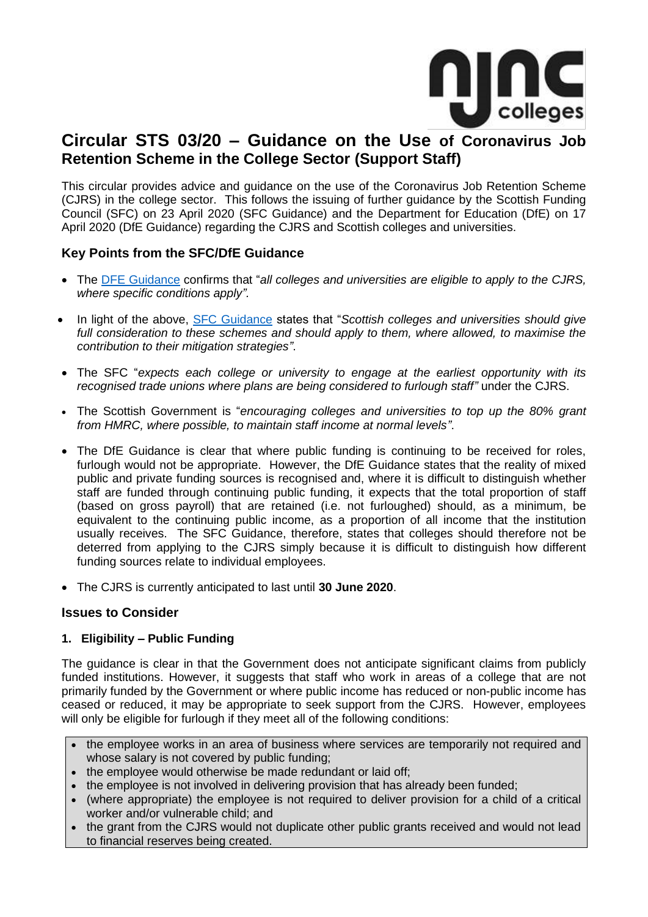

# **Circular STS 03/20 – Guidance on the Use of Coronavirus Job Retention Scheme in the College Sector (Support Staff)**

This circular provides advice and guidance on the use of the Coronavirus Job Retention Scheme (CJRS) in the college sector. This follows the issuing of further guidance by the Scottish Funding Council (SFC) on 23 April 2020 (SFC Guidance) and the Department for Education (DfE) on 17 April 2020 (DfE Guidance) regarding the CJRS and Scottish colleges and universities.

# **Key Points from the SFC/DfE Guidance**

- The [DFE Guidance](https://www.gov.uk/government/publications/coronavirus-covid-19-financial-support-for-education-early-years-and-childrens-social-care/coronavirus-covid-19-financial-support-for-education-early-years-and-childrens-social-care) confirms that "*all colleges and universities are eligible to apply to the CJRS, where specific conditions apply".*
- In light of the above, [SFC Guidance](http://www.sfc.ac.uk/web/FILES/covid-19/UK_Government_Job_Retention_and_Loan_Schemes.pdf) states that "*Scottish colleges and universities should give full consideration to these schemes and should apply to them, where allowed, to maximise the contribution to their mitigation strategies"*.
- The SFC "*expects each college or university to engage at the earliest opportunity with its recognised trade unions where plans are being considered to furlough staff"* under the CJRS.
- The Scottish Government is "*encouraging colleges and universities to top up the 80% grant from HMRC, where possible, to maintain staff income at normal levels"*.
- The DfE Guidance is clear that where public funding is continuing to be received for roles, furlough would not be appropriate. However, the DfE Guidance states that the reality of mixed public and private funding sources is recognised and, where it is difficult to distinguish whether staff are funded through continuing public funding, it expects that the total proportion of staff (based on gross payroll) that are retained (i.e. not furloughed) should, as a minimum, be equivalent to the continuing public income, as a proportion of all income that the institution usually receives. The SFC Guidance, therefore, states that colleges should therefore not be deterred from applying to the CJRS simply because it is difficult to distinguish how different funding sources relate to individual employees.
- The CJRS is currently anticipated to last until **30 June 2020**.

#### **Issues to Consider**

#### **1. Eligibility – Public Funding**

The guidance is clear in that the Government does not anticipate significant claims from publicly funded institutions. However, it suggests that staff who work in areas of a college that are not primarily funded by the Government or where public income has reduced or non-public income has ceased or reduced, it may be appropriate to seek support from the CJRS. However, employees will only be eligible for furlough if they meet all of the following conditions:

- the employee works in an area of business where services are temporarily not required and whose salary is not covered by public funding:
- the employee would otherwise be made redundant or laid off;
- the employee is not involved in delivering provision that has already been funded:
- (where appropriate) the employee is not required to deliver provision for a child of a critical worker and/or vulnerable child; and
- the grant from the CJRS would not duplicate other public grants received and would not lead to financial reserves being created.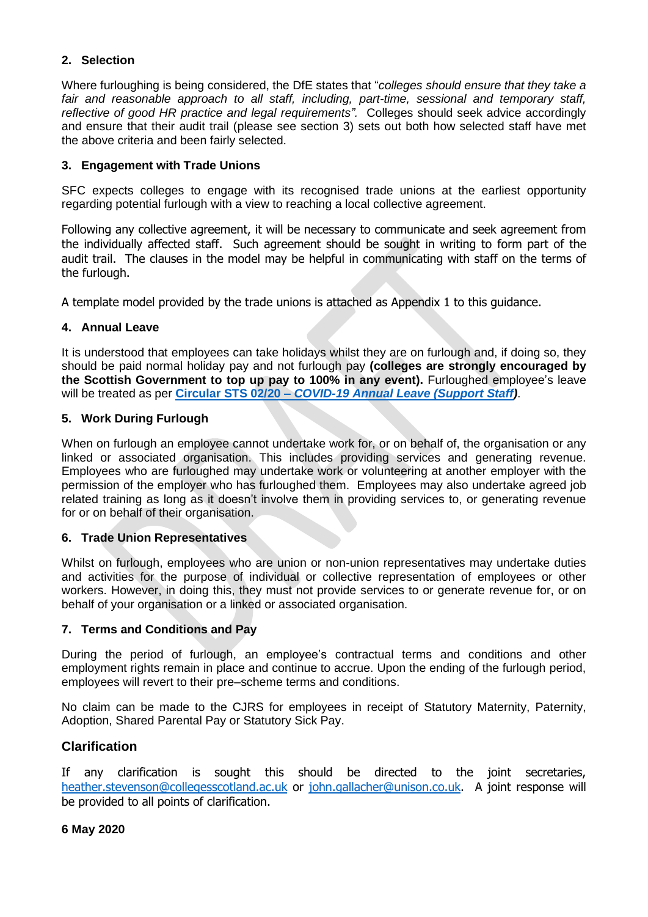### **2. Selection**

Where furloughing is being considered, the DfE states that "*colleges should ensure that they take a fair and reasonable approach to all staff, including, part-time, sessional and temporary staff, reflective of good HR practice and legal requirements".* Colleges should seek advice accordingly and ensure that their audit trail (please see section 3) sets out both how selected staff have met the above criteria and been fairly selected.

#### **3. Engagement with Trade Unions**

SFC expects colleges to engage with its recognised trade unions at the earliest opportunity regarding potential furlough with a view to reaching a local collective agreement.

Following any collective agreement, it will be necessary to communicate and seek agreement from the individually affected staff. Such agreement should be sought in writing to form part of the audit trail. The clauses in the model may be helpful in communicating with staff on the terms of the furlough.

A template model provided by the trade unions is attached as Appendix 1 to this guidance.

#### **4. Annual Leave**

It is understood that employees can take holidays whilst they are on furlough and, if doing so, they should be paid normal holiday pay and not furlough pay **(colleges are strongly encouraged by the Scottish Government to top up pay to 100% in any event).** Furloughed employee's leave will be treated as per **Circular STS 02/20 –** *[COVID-19 Annual Leave \(Support Staff\)](https://njncscotlandscolleges.ac.uk/njnc/support-staff/730-njnc-circular-02-20-covid-19-annual-leave-side-table-support-1/file.html)*.

#### **5. Work During Furlough**

When on furlough an employee cannot undertake work for, or on behalf of, the organisation or any linked or associated organisation. This includes providing services and generating revenue. Employees who are furloughed may undertake work or volunteering at another employer with the permission of the employer who has furloughed them. Employees may also undertake agreed job related training as long as it doesn't involve them in providing services to, or generating revenue for or on behalf of their organisation.

#### **6. Trade Union Representatives**

Whilst on furlough, employees who are union or non-union representatives may undertake duties and activities for the purpose of individual or collective representation of employees or other workers. However, in doing this, they must not provide services to or generate revenue for, or on behalf of your organisation or a linked or associated organisation.

#### **7. Terms and Conditions and Pay**

During the period of furlough, an employee's contractual terms and conditions and other employment rights remain in place and continue to accrue. Upon the ending of the furlough period, employees will revert to their pre–scheme terms and conditions.

No claim can be made to the CJRS for employees in receipt of Statutory Maternity, Paternity, Adoption, Shared Parental Pay or Statutory Sick Pay.

#### **Clarification**

If any clarification is sought this should be directed to the joint secretaries, [heather.stevenson@collegesscotland.ac.uk](mailto:heather.stevenson@collegesscotland.ac.uk) or [john.gallacher@unison.co.uk.](mailto:john.gallacher@unison.co.uk) A joint response will be provided to all points of clarification.

#### **6 May 2020**